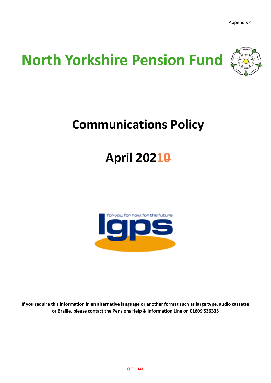

## **Communications Policy**

# **April 20210**



**If you require this information in an alternative language or another format such as large type, audio cassette or Braille, please contact the Pensions Help & Information Line on 01609 536335**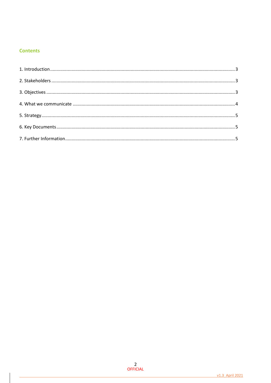## **Contents**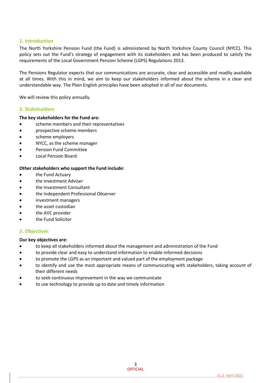## <span id="page-2-0"></span>**1. Introduction**

The North Yorkshire Pension Fund (the Fund) is administered by North Yorkshire County Council (NYCC). This policy sets out the Fund's strategy of engagement with its stakeholders and has been produced to satisfy the requirements of the Local Government Pension Scheme (LGPS) Regulations 2013.

The Pensions Regulator expects that our communications are accurate, clear and accessible and readily available at all times. With this in mind, we aim to keep our stakeholders informed about the scheme in a clear and understandable way. The Plain English principles have been adopted in all of our documents.

We will review this policy annually.

## <span id="page-2-1"></span>**2. Stakeholders**

#### **The key stakeholders for the Fund are:**

- scheme members and their representatives
- prospective scheme members
- scheme employers
- NYCC, as the scheme manager
- Pension Fund Committee
- Local Pension Board

#### **Other stakeholders who support the Fund include:**

- the Fund Actuary
- the Investment Adviser
- the Investment Consultant
- the Independent Professional Observer
- investment managers
- the asset custodian
- the AVC provider
- <span id="page-2-2"></span>the Fund Solicitor

#### **3. Objectives**

#### **Our key objectives are:**

- to keep all stakeholders informed about the management and administration of the Fund
- to provide clear and easy to understand information to enable informed decisions
- to promote the LGPS as an important and valued part of the employment package
- to identify and use the most appropriate means of communicating with stakeholders, taking account of their different needs
- to seek continuous improvement in the way we communicate
- to use technology to provide up to date and timely information

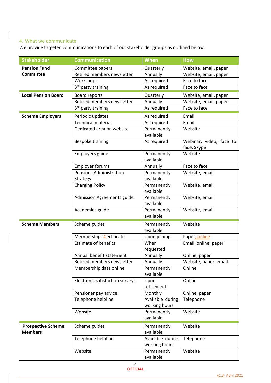## <span id="page-3-0"></span>4. What we communicate

We provide targeted communications to each of our stakeholder groups as outlined below.

| <b>Stakeholder</b>         | <b>Communication</b>            | <b>When</b>                       | <b>How</b>                             |
|----------------------------|---------------------------------|-----------------------------------|----------------------------------------|
| <b>Pension Fund</b>        | Committee papers                | Quarterly                         | Website, email, paper                  |
| <b>Committee</b>           | Retired members newsletter      | Annually                          | Website, email, paper                  |
|                            | Workshops                       | As required                       | Face to face                           |
|                            | 3rd party training              | As required                       | Face to face                           |
| <b>Local Pension Board</b> | Board reports                   | Quarterly                         | Website, email, paper                  |
|                            | Retired members newsletter      | Annually                          | Website, email, paper                  |
|                            | 3 <sup>rd</sup> party training  | As required                       | Face to face                           |
| <b>Scheme Employers</b>    | Periodic updates                | As required                       | Email                                  |
|                            | <b>Technical material</b>       | As required                       | Email                                  |
|                            | Dedicated area on website       | Permanently                       | Website                                |
|                            |                                 | available                         |                                        |
|                            | Bespoke training                | As required                       | Webinar, video, face to<br>face, Skype |
|                            | Employers guide                 | Permanently                       | Website                                |
|                            |                                 | available                         |                                        |
|                            | <b>Employer forums</b>          | Annually                          | Face to face                           |
|                            | <b>Pensions Administration</b>  | Permanently                       | Website, email                         |
|                            | Strategy                        | available                         |                                        |
|                            | <b>Charging Policy</b>          | Permanently                       | Website, email                         |
|                            |                                 | available                         |                                        |
|                            | Admission Agreements guide      | Permanently<br>available          | Website, email                         |
|                            | Academies guide                 | Permanently<br>available          | Website, email                         |
| <b>Scheme Members</b>      |                                 |                                   |                                        |
|                            | Scheme guides                   | Permanently<br>available          | Website                                |
|                            | Membership certificate          | Upon joining                      | Paper, online                          |
|                            | <b>Estimate of benefits</b>     | When                              | Email, online, paper                   |
|                            |                                 | requested                         |                                        |
|                            | Annual benefit statement        | Annually                          | Online, paper                          |
|                            | Retired members newsletter      | Annually                          | Website, paper, email                  |
|                            | Membership data online          | Permanently<br>available          | Online                                 |
|                            | Electronic satisfaction surveys | Upon                              | Online                                 |
|                            |                                 | retirement                        |                                        |
|                            | Pensioner pay advice            | Monthly                           | Online, paper                          |
|                            | Telephone helpline              | Available during<br>working hours | Telephone                              |
|                            | Website                         | Permanently                       | Website                                |
|                            |                                 | available                         |                                        |
| <b>Prospective Scheme</b>  | Scheme guides                   | Permanently                       | Website                                |
| <b>Members</b>             |                                 | available                         |                                        |
|                            | Telephone helpline              | Available during                  | Telephone                              |
|                            |                                 | working hours                     |                                        |
|                            | Website                         | Permanently                       | Website                                |
|                            |                                 | available                         |                                        |